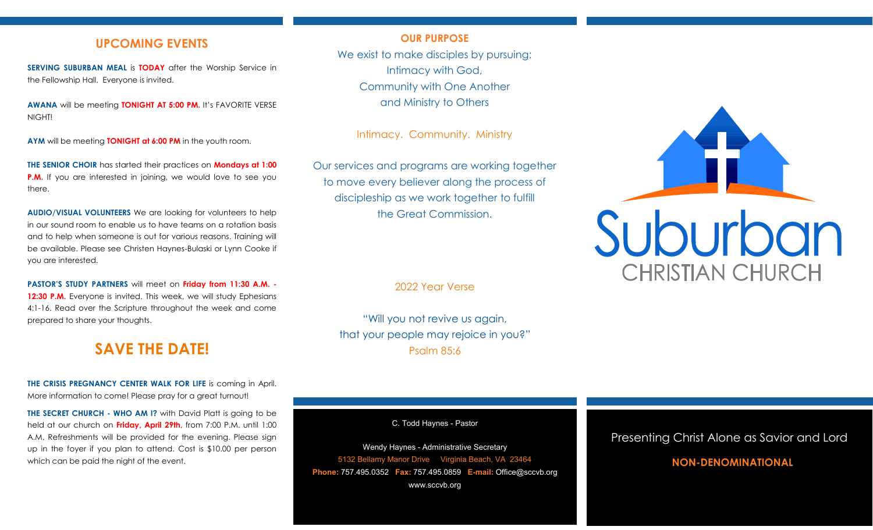## **UPCOMING EVENTS**

**SERVING SUBURBAN MEAL is <b>TODAY** after the Worship Service in the Fellowship Hall. Everyone is invited.

**AWANA** will be meeting **TONIGHT AT 5:00 PM.** It's FAVORITE VERSE NIGHT!

**AYM** will be meeting **TONIGHT at 6:00 PM** in the youth room.

**THE SENIOR CHOIR** has started their practices on **Mondays at 1:00 P.M.** If you are interested in joining, we would love to see you there.

**AUDIO/VISUAL VOLUNTEERS** We are looking for volunteers to help in our sound room to enable us to have teams on a rotation basis and to help when someone is out for various reasons. Training will be available. Please see Christen Haynes-Bulaski or Lynn Cooke if you are interested.

**PASTOR'S STUDY PARTNERS** will meet on **Friday from 11:30 A.M. -** 12:30 P.M. Everyone is invited. This week, we will study Ephesians 4:1-16. Read over the Scripture throughout the week and come prepared to share your thoughts.

# **SAVE THE DATE!**

**THE CRISIS PREGNANCY CENTER WALK FOR LIFE** is coming in April. More information to come! Please pray for a great turnout!

**THE SECRET CHURCH - WHO AM I?** with David Platt is going to be held at our church on **Friday, April 29th**, from 7:00 P.M. until 1:00 A.M. Refreshments will be provided for the evening. Please sign up in the foyer if you plan to attend. Cost is \$10.00 per person which can be paid the night of the event.

## **OUR PURPOSE**

We exist to make disciples by pursuing: Intimacy with God, Community with One Another and Ministry to Others

Intimacy. Community. Ministry

Our services and programs are working together to move every believer along the process of discipleship as we work together to fulfill the Great Commission.

2022 Year Verse

"Will you not revive us again, that your people may rejoice in you?" Psalm 85:6

C. Todd Haynes - Pastor

Wendy Haynes - Administrative Secretary 5132 Bellamy Manor Drive Virginia Beach, VA 23464 **Phone:** 757.495.0352 **Fax:** 757.495.0859 **E-mail:** Office@sccvb.org www.sccvb.org



## Presenting Christ Alone as Savior and Lord

## **NON-DENOMINATIONAL**